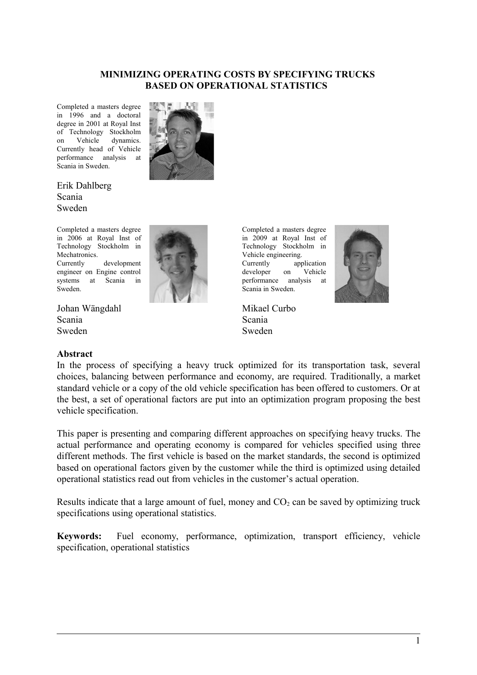#### **MINIMIZING OPERATING COSTS BY SPECIFYING TRUCKS BASED ON OPERATIONAL STATISTICS**

Completed a masters degree in 1996 and a doctoral degree in 2001 at Royal Inst of Technology Stockholm on Vehicle dynamics. Currently head of Vehicle performance analysis at Scania in Sweden.



Erik Dahlberg Scania Sweden

Completed a masters degree in 2006 at Royal Inst of Technology Stockholm in Mechatronics. Currently development engineer on Engine control systems at Scania in Sweden.

Johan Wängdahl Scania Sweden

#### **Abstract**



Completed a masters degree in 2009 at Royal Inst of Technology Stockholm in Vehicle engineering. Currently application developer on Vehicle performance analysis at Scania in Sweden.

Mikael Curbo Scania Sweden



In the process of specifying a heavy truck optimized for its transportation task, several choices, balancing between performance and economy, are required. Traditionally, a market standard vehicle or a copy of the old vehicle specification has been offered to customers. Or at the best, a set of operational factors are put into an optimization program proposing the best vehicle specification.

This paper is presenting and comparing different approaches on specifying heavy trucks. The actual performance and operating economy is compared for vehicles specified using three different methods. The first vehicle is based on the market standards, the second is optimized based on operational factors given by the customer while the third is optimized using detailed operational statistics read out from vehicles in the customer's actual operation.

Results indicate that a large amount of fuel, money and  $CO<sub>2</sub>$  can be saved by optimizing truck specifications using operational statistics.

**Keywords:** Fuel economy, performance, optimization, transport efficiency, vehicle specification, operational statistics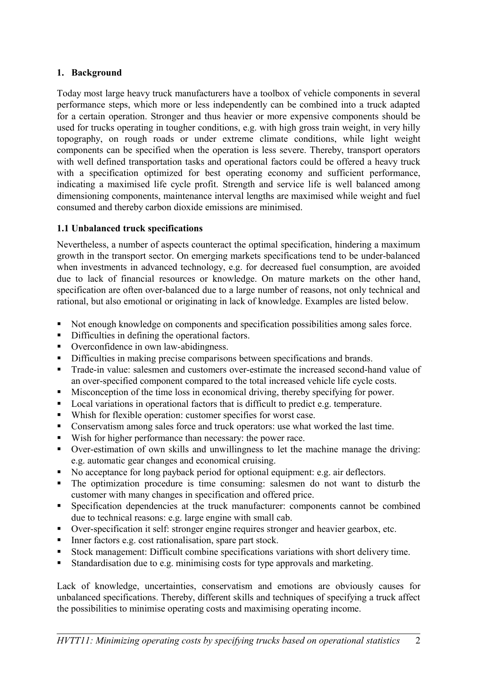# **1. Background**

Today most large heavy truck manufacturers have a toolbox of vehicle components in several performance steps, which more or less independently can be combined into a truck adapted for a certain operation. Stronger and thus heavier or more expensive components should be used for trucks operating in tougher conditions, e.g. with high gross train weight, in very hilly topography, on rough roads or under extreme climate conditions, while light weight components can be specified when the operation is less severe. Thereby, transport operators with well defined transportation tasks and operational factors could be offered a heavy truck with a specification optimized for best operating economy and sufficient performance, indicating a maximised life cycle profit. Strength and service life is well balanced among dimensioning components, maintenance interval lengths are maximised while weight and fuel consumed and thereby carbon dioxide emissions are minimised.

### **1.1 Unbalanced truck specifications**

Nevertheless, a number of aspects counteract the optimal specification, hindering a maximum growth in the transport sector. On emerging markets specifications tend to be under-balanced when investments in advanced technology, e.g. for decreased fuel consumption, are avoided due to lack of financial resources or knowledge. On mature markets on the other hand, specification are often over-balanced due to a large number of reasons, not only technical and rational, but also emotional or originating in lack of knowledge. Examples are listed below.

- Not enough knowledge on components and specification possibilities among sales force.
- Difficulties in defining the operational factors.
- Overconfidence in own law-abidingness.
- Difficulties in making precise comparisons between specifications and brands.
- Trade-in value: salesmen and customers over-estimate the increased second-hand value of an over-specified component compared to the total increased vehicle life cycle costs.
- Misconception of the time loss in economical driving, thereby specifying for power.
- **Local variations in operational factors that is difficult to predict e.g. temperature.**
- Whish for flexible operation: customer specifies for worst case.
- Conservatism among sales force and truck operators: use what worked the last time.
- Wish for higher performance than necessary: the power race.
- Over-estimation of own skills and unwillingness to let the machine manage the driving: e.g. automatic gear changes and economical cruising.
- No acceptance for long payback period for optional equipment: e.g. air deflectors.
- The optimization procedure is time consuming: salesmen do not want to disturb the customer with many changes in specification and offered price.
- Specification dependencies at the truck manufacturer: components cannot be combined due to technical reasons: e.g. large engine with small cab.
- Over-specification it self: stronger engine requires stronger and heavier gearbox, etc.
- Inner factors e.g. cost rationalisation, spare part stock.
- Stock management: Difficult combine specifications variations with short delivery time.
- Standardisation due to e.g. minimising costs for type approvals and marketing.

Lack of knowledge, uncertainties, conservatism and emotions are obviously causes for unbalanced specifications. Thereby, different skills and techniques of specifying a truck affect the possibilities to minimise operating costs and maximising operating income.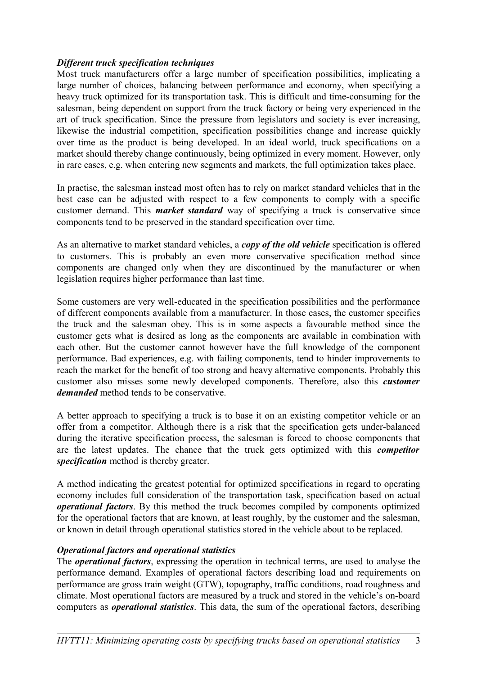### *Different truck specification techniques*

Most truck manufacturers offer a large number of specification possibilities, implicating a large number of choices, balancing between performance and economy, when specifying a heavy truck optimized for its transportation task. This is difficult and time-consuming for the salesman, being dependent on support from the truck factory or being very experienced in the art of truck specification. Since the pressure from legislators and society is ever increasing, likewise the industrial competition, specification possibilities change and increase quickly over time as the product is being developed. In an ideal world, truck specifications on a market should thereby change continuously, being optimized in every moment. However, only in rare cases, e.g. when entering new segments and markets, the full optimization takes place.

In practise, the salesman instead most often has to rely on market standard vehicles that in the best case can be adjusted with respect to a few components to comply with a specific customer demand. This *market standard* way of specifying a truck is conservative since components tend to be preserved in the standard specification over time.

As an alternative to market standard vehicles, a *copy of the old vehicle* specification is offered to customers. This is probably an even more conservative specification method since components are changed only when they are discontinued by the manufacturer or when legislation requires higher performance than last time.

Some customers are very well-educated in the specification possibilities and the performance of different components available from a manufacturer. In those cases, the customer specifies the truck and the salesman obey. This is in some aspects a favourable method since the customer gets what is desired as long as the components are available in combination with each other. But the customer cannot however have the full knowledge of the component performance. Bad experiences, e.g. with failing components, tend to hinder improvements to reach the market for the benefit of too strong and heavy alternative components. Probably this customer also misses some newly developed components. Therefore, also this *customer demanded* method tends to be conservative.

A better approach to specifying a truck is to base it on an existing competitor vehicle or an offer from a competitor. Although there is a risk that the specification gets under-balanced during the iterative specification process, the salesman is forced to choose components that are the latest updates. The chance that the truck gets optimized with this *competitor specification* method is thereby greater.

A method indicating the greatest potential for optimized specifications in regard to operating economy includes full consideration of the transportation task, specification based on actual *operational factors*. By this method the truck becomes compiled by components optimized for the operational factors that are known, at least roughly, by the customer and the salesman, or known in detail through operational statistics stored in the vehicle about to be replaced.

### *Operational factors and operational statistics*

The *operational factors*, expressing the operation in technical terms, are used to analyse the performance demand. Examples of operational factors describing load and requirements on performance are gross train weight (GTW), topography, traffic conditions, road roughness and climate. Most operational factors are measured by a truck and stored in the vehicle's on-board computers as *operational statistics*. This data, the sum of the operational factors, describing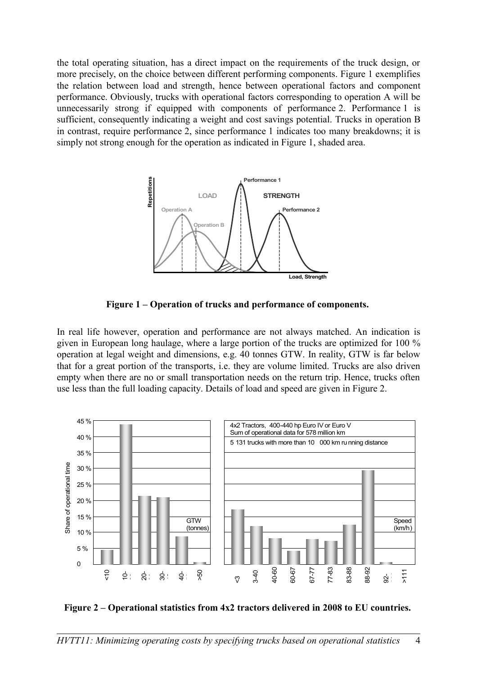the total operating situation, has a direct impact on the requirements of the truck design, or more precisely, on the choice between different performing components. Figure 1 exemplifies the relation between load and strength, hence between operational factors and component performance. Obviously, trucks with operational factors corresponding to operation A will be unnecessarily strong if equipped with components of performance 2. Performance 1 is sufficient, consequently indicating a weight and cost savings potential. Trucks in operation B in contrast, require performance 2, since performance 1 indicates too many breakdowns; it is simply not strong enough for the operation as indicated in Figure 1, shaded area.



**Figure 1 – Operation of trucks and performance of components.** 

In real life however, operation and performance are not always matched. An indication is given in European long haulage, where a large portion of the trucks are optimized for 100 % operation at legal weight and dimensions, e.g. 40 tonnes GTW. In reality, GTW is far below that for a great portion of the transports, i.e. they are volume limited. Trucks are also driven empty when there are no or small transportation needs on the return trip. Hence, trucks often use less than the full loading capacity. Details of load and speed are given in Figure 2.





*HVTT11: Minimizing operating costs by specifying trucks based on operational statistics* 4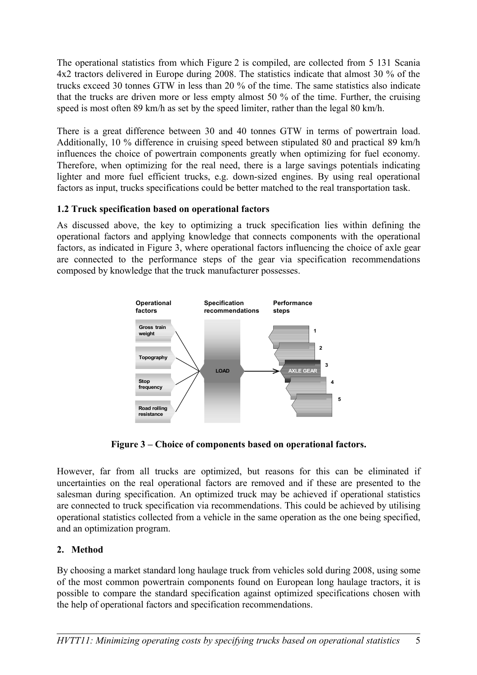The operational statistics from which Figure 2 is compiled, are collected from 5 131 Scania 4x2 tractors delivered in Europe during 2008. The statistics indicate that almost 30 % of the trucks exceed 30 tonnes GTW in less than 20 % of the time. The same statistics also indicate that the trucks are driven more or less empty almost 50 % of the time. Further, the cruising speed is most often 89 km/h as set by the speed limiter, rather than the legal 80 km/h.

There is a great difference between 30 and 40 tonnes GTW in terms of powertrain load. Additionally, 10 % difference in cruising speed between stipulated 80 and practical 89 km/h influences the choice of powertrain components greatly when optimizing for fuel economy. Therefore, when optimizing for the real need, there is a large savings potentials indicating lighter and more fuel efficient trucks, e.g. down-sized engines. By using real operational factors as input, trucks specifications could be better matched to the real transportation task.

# **1.2 Truck specification based on operational factors**

As discussed above, the key to optimizing a truck specification lies within defining the operational factors and applying knowledge that connects components with the operational factors, as indicated in Figure 3, where operational factors influencing the choice of axle gear are connected to the performance steps of the gear via specification recommendations composed by knowledge that the truck manufacturer possesses.



**Figure 3 – Choice of components based on operational factors.**

However, far from all trucks are optimized, but reasons for this can be eliminated if uncertainties on the real operational factors are removed and if these are presented to the salesman during specification. An optimized truck may be achieved if operational statistics are connected to truck specification via recommendations. This could be achieved by utilising operational statistics collected from a vehicle in the same operation as the one being specified, and an optimization program.

# **2. Method**

By choosing a market standard long haulage truck from vehicles sold during 2008, using some of the most common powertrain components found on European long haulage tractors, it is possible to compare the standard specification against optimized specifications chosen with the help of operational factors and specification recommendations.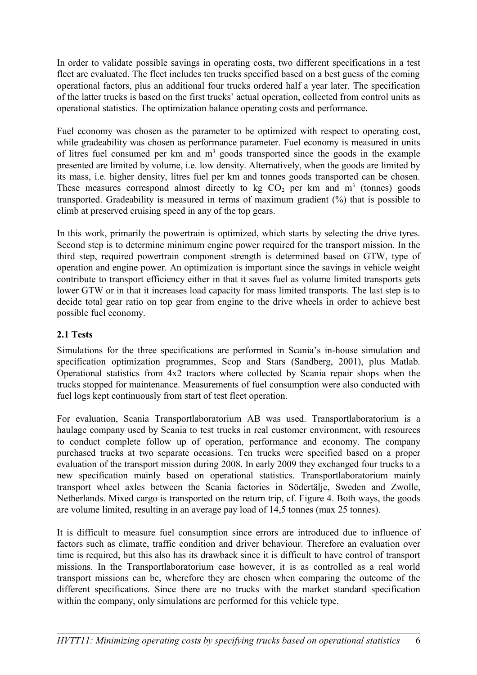In order to validate possible savings in operating costs, two different specifications in a test fleet are evaluated. The fleet includes ten trucks specified based on a best guess of the coming operational factors, plus an additional four trucks ordered half a year later. The specification of the latter trucks is based on the first trucks' actual operation, collected from control units as operational statistics. The optimization balance operating costs and performance.

Fuel economy was chosen as the parameter to be optimized with respect to operating cost, while gradeability was chosen as performance parameter. Fuel economy is measured in units of litres fuel consumed per  $km$  and  $m<sup>3</sup>$  goods transported since the goods in the example presented are limited by volume, i.e. low density. Alternatively, when the goods are limited by its mass, i.e. higher density, litres fuel per km and tonnes goods transported can be chosen. These measures correspond almost directly to kg  $CO<sub>2</sub>$  per km and  $m<sup>3</sup>$  (tonnes) goods transported. Gradeability is measured in terms of maximum gradient (%) that is possible to climb at preserved cruising speed in any of the top gears.

In this work, primarily the powertrain is optimized, which starts by selecting the drive tyres. Second step is to determine minimum engine power required for the transport mission. In the third step, required powertrain component strength is determined based on GTW, type of operation and engine power. An optimization is important since the savings in vehicle weight contribute to transport efficiency either in that it saves fuel as volume limited transports gets lower GTW or in that it increases load capacity for mass limited transports. The last step is to decide total gear ratio on top gear from engine to the drive wheels in order to achieve best possible fuel economy.

# **2.1 Tests**

Simulations for the three specifications are performed in Scania's in-house simulation and specification optimization programmes, Scop and Stars (Sandberg, 2001), plus Matlab. Operational statistics from 4x2 tractors where collected by Scania repair shops when the trucks stopped for maintenance. Measurements of fuel consumption were also conducted with fuel logs kept continuously from start of test fleet operation.

For evaluation, Scania Transportlaboratorium AB was used. Transportlaboratorium is a haulage company used by Scania to test trucks in real customer environment, with resources to conduct complete follow up of operation, performance and economy. The company purchased trucks at two separate occasions. Ten trucks were specified based on a proper evaluation of the transport mission during 2008. In early 2009 they exchanged four trucks to a new specification mainly based on operational statistics. Transportlaboratorium mainly transport wheel axles between the Scania factories in Södertälje, Sweden and Zwolle, Netherlands. Mixed cargo is transported on the return trip, cf. Figure 4. Both ways, the goods are volume limited, resulting in an average pay load of 14,5 tonnes (max 25 tonnes).

It is difficult to measure fuel consumption since errors are introduced due to influence of factors such as climate, traffic condition and driver behaviour. Therefore an evaluation over time is required, but this also has its drawback since it is difficult to have control of transport missions. In the Transportlaboratorium case however, it is as controlled as a real world transport missions can be, wherefore they are chosen when comparing the outcome of the different specifications. Since there are no trucks with the market standard specification within the company, only simulations are performed for this vehicle type.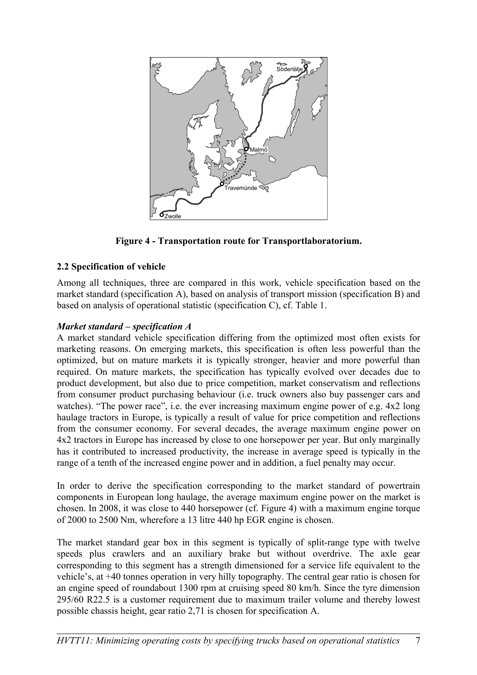

**Figure 4 - Transportation route for Transportlaboratorium.**

# **2.2 Specification of vehicle**

Among all techniques, three are compared in this work, vehicle specification based on the market standard (specification A), based on analysis of transport mission (specification B) and based on analysis of operational statistic (specification C), cf. Table 1.

# *Market standard – specification A*

A market standard vehicle specification differing from the optimized most often exists for marketing reasons. On emerging markets, this specification is often less powerful than the optimized, but on mature markets it is typically stronger, heavier and more powerful than required. On mature markets, the specification has typically evolved over decades due to product development, but also due to price competition, market conservatism and reflections from consumer product purchasing behaviour (i.e. truck owners also buy passenger cars and watches). "The power race", i.e. the ever increasing maximum engine power of e.g.  $4x2$  long haulage tractors in Europe, is typically a result of value for price competition and reflections from the consumer economy. For several decades, the average maximum engine power on 4x2 tractors in Europe has increased by close to one horsepower per year. But only marginally has it contributed to increased productivity, the increase in average speed is typically in the range of a tenth of the increased engine power and in addition, a fuel penalty may occur.

In order to derive the specification corresponding to the market standard of powertrain components in European long haulage, the average maximum engine power on the market is chosen. In 2008, it was close to 440 horsepower (cf. Figure 4) with a maximum engine torque of 2000 to 2500 Nm, wherefore a 13 litre 440 hp EGR engine is chosen.

The market standard gear box in this segment is typically of split-range type with twelve speeds plus crawlers and an auxiliary brake but without overdrive. The axle gear corresponding to this segment has a strength dimensioned for a service life equivalent to the vehicle's, at +40 tonnes operation in very hilly topography. The central gear ratio is chosen for an engine speed of roundabout 1300 rpm at cruising speed 80 km/h. Since the tyre dimension 295/60 R22.5 is a customer requirement due to maximum trailer volume and thereby lowest possible chassis height, gear ratio 2,71 is chosen for specification A.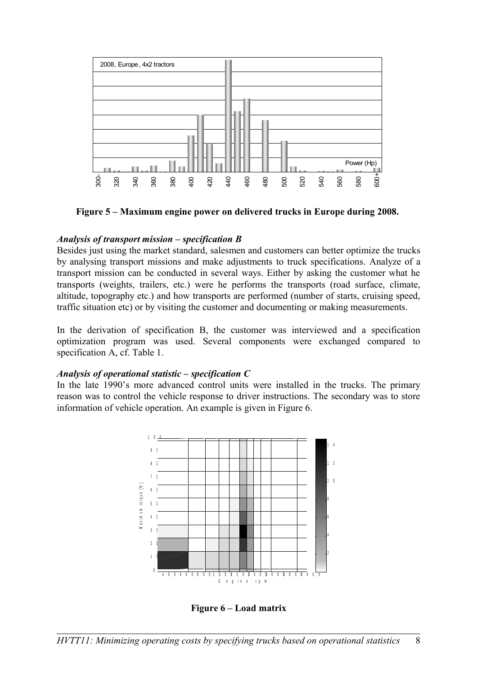

**Figure 5 – Maximum engine power on delivered trucks in Europe during 2008.** 

### *Analysis of transport mission – specification B*

Besides just using the market standard, salesmen and customers can better optimize the trucks by analysing transport missions and make adjustments to truck specifications. Analyze of a transport mission can be conducted in several ways. Either by asking the customer what he transports (weights, trailers, etc.) were he performs the transports (road surface, climate, altitude, topography etc.) and how transports are performed (number of starts, cruising speed, traffic situation etc) or by visiting the customer and documenting or making measurements.

In the derivation of specification B, the customer was interviewed and a specification optimization program was used. Several components were exchanged compared to specification A, cf. Table 1.

#### *Analysis of operational statistic – specification C*

In the late 1990's more advanced control units were installed in the trucks. The primary reason was to control the vehicle response to driver instructions. The secondary was to store information of vehicle operation. An example is given in Figure 6.



**Figure 6 – Load matrix**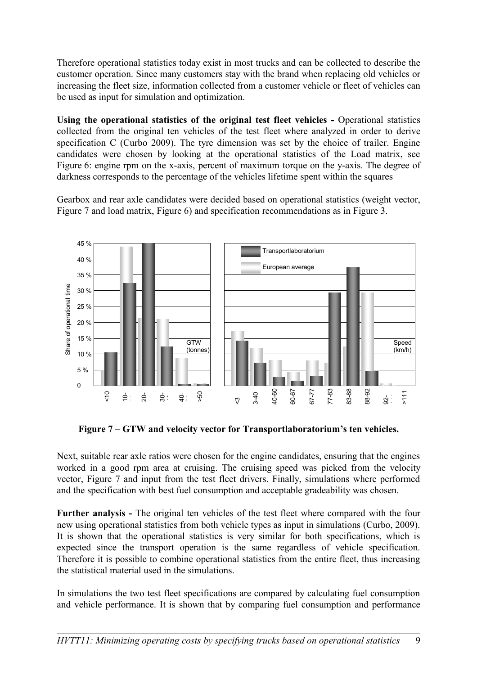Therefore operational statistics today exist in most trucks and can be collected to describe the customer operation. Since many customers stay with the brand when replacing old vehicles or increasing the fleet size, information collected from a customer vehicle or fleet of vehicles can be used as input for simulation and optimization.

Using the operational statistics of the original test fleet vehicles - Operational statistics collected from the original ten vehicles of the test fleet where analyzed in order to derive specification C (Curbo 2009). The tyre dimension was set by the choice of trailer. Engine candidates were chosen by looking at the operational statistics of the Load matrix, see Figure 6: engine rpm on the x-axis, percent of maximum torque on the y-axis. The degree of darkness corresponds to the percentage of the vehicles lifetime spent within the squares

Gearbox and rear axle candidates were decided based on operational statistics (weight vector, Figure 7 and load matrix, Figure 6) and specification recommendations as in Figure 3.



**Figure 7 – GTW and velocity vector for Transportlaboratorium's ten vehicles.**

Next, suitable rear axle ratios were chosen for the engine candidates, ensuring that the engines worked in a good rpm area at cruising. The cruising speed was picked from the velocity vector, Figure 7 and input from the test fleet drivers. Finally, simulations where performed and the specification with best fuel consumption and acceptable gradeability was chosen.

**Further analysis -** The original ten vehicles of the test fleet where compared with the four new using operational statistics from both vehicle types as input in simulations (Curbo, 2009). It is shown that the operational statistics is very similar for both specifications, which is expected since the transport operation is the same regardless of vehicle specification. Therefore it is possible to combine operational statistics from the entire fleet, thus increasing the statistical material used in the simulations.

In simulations the two test fleet specifications are compared by calculating fuel consumption and vehicle performance. It is shown that by comparing fuel consumption and performance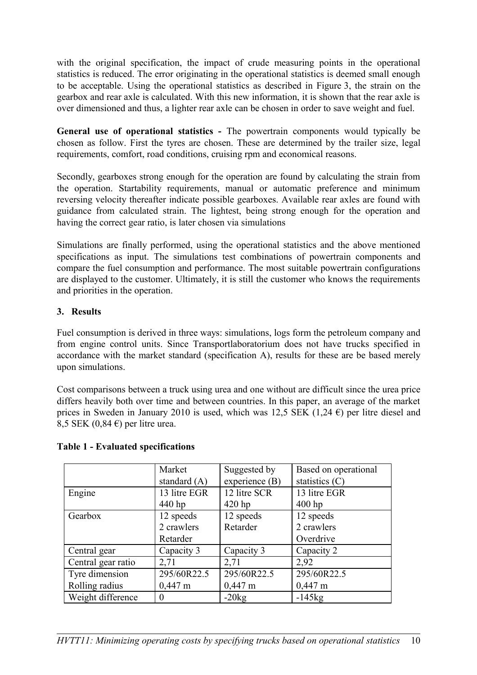with the original specification, the impact of crude measuring points in the operational statistics is reduced. The error originating in the operational statistics is deemed small enough to be acceptable. Using the operational statistics as described in Figure 3, the strain on the gearbox and rear axle is calculated. With this new information, it is shown that the rear axle is over dimensioned and thus, a lighter rear axle can be chosen in order to save weight and fuel.

**General use of operational statistics -** The powertrain components would typically be chosen as follow. First the tyres are chosen. These are determined by the trailer size, legal requirements, comfort, road conditions, cruising rpm and economical reasons.

Secondly, gearboxes strong enough for the operation are found by calculating the strain from the operation. Startability requirements, manual or automatic preference and minimum reversing velocity thereafter indicate possible gearboxes. Available rear axles are found with guidance from calculated strain. The lightest, being strong enough for the operation and having the correct gear ratio, is later chosen via simulations

Simulations are finally performed, using the operational statistics and the above mentioned specifications as input. The simulations test combinations of powertrain components and compare the fuel consumption and performance. The most suitable powertrain configurations are displayed to the customer. Ultimately, it is still the customer who knows the requirements and priorities in the operation.

# **3. Results**

Fuel consumption is derived in three ways: simulations, logs form the petroleum company and from engine control units. Since Transportlaboratorium does not have trucks specified in accordance with the market standard (specification A), results for these are be based merely upon simulations.

Cost comparisons between a truck using urea and one without are difficult since the urea price differs heavily both over time and between countries. In this paper, an average of the market prices in Sweden in January 2010 is used, which was 12,5 SEK (1,24  $\epsilon$ ) per litre diesel and 8,5 SEK (0,84  $\epsilon$ ) per litre urea.

|                    | Market            | Suggested by      | Based on operational |
|--------------------|-------------------|-------------------|----------------------|
|                    | standard $(A)$    | experience (B)    | statistics (C)       |
| Engine             | 13 litre EGR      | 12 litre SCR      | 13 litre EGR         |
|                    | 440 hp            | $420$ hp          | $400$ hp             |
| Gearbox            | 12 speeds         | 12 speeds         | 12 speeds            |
|                    | 2 crawlers        | Retarder          | 2 crawlers           |
|                    | Retarder          |                   | Overdrive            |
| Central gear       | Capacity 3        | Capacity 3        | Capacity 2           |
| Central gear ratio | 2,71              | 2,71              | 2,92                 |
| Tyre dimension     | 295/60R22.5       | 295/60R22.5       | 295/60R22.5          |
| Rolling radius     | $0,447 \text{ m}$ | $0,447 \text{ m}$ | $0,447 \text{ m}$    |
| Weight difference  | $\theta$          | $-20kg$           | $-145kg$             |

### **Table 1 - Evaluated specifications**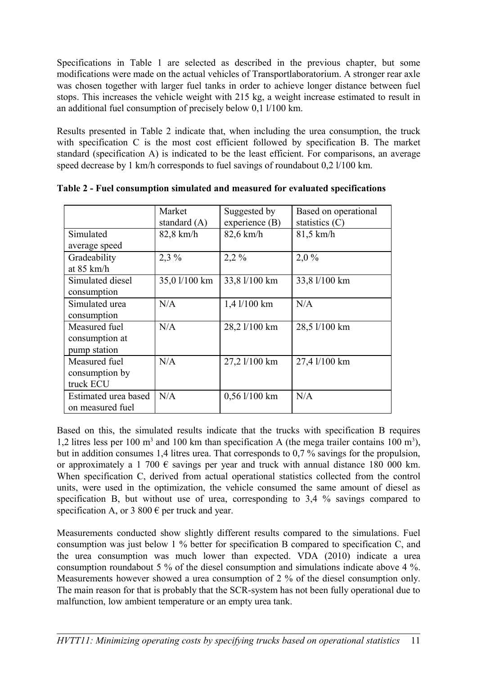Specifications in Table 1 are selected as described in the previous chapter, but some modifications were made on the actual vehicles of Transportlaboratorium. A stronger rear axle was chosen together with larger fuel tanks in order to achieve longer distance between fuel stops. This increases the vehicle weight with 215 kg, a weight increase estimated to result in an additional fuel consumption of precisely below 0,1 l/100 km.

Results presented in Table 2 indicate that, when including the urea consumption, the truck with specification C is the most cost efficient followed by specification B. The market standard (specification A) is indicated to be the least efficient. For comparisons, an average speed decrease by 1 km/h corresponds to fuel savings of roundabout 0,2 l/100 km.

|                      | Market         | Suggested by     | Based on operational |
|----------------------|----------------|------------------|----------------------|
|                      | standard $(A)$ | experience $(B)$ | statistics $(C)$     |
| Simulated            | $82,8$ km/h    | $82,6$ km/h      | $81,5$ km/h          |
| average speed        |                |                  |                      |
| Gradeability         | $2,3\%$        | $2,2\%$          | 2,0%                 |
| at $85 \text{ km/h}$ |                |                  |                      |
| Simulated diesel     | 35,0 l/100 km  | 33,8 l/100 km    | 33,8 l/100 km        |
| consumption          |                |                  |                      |
| Simulated urea       | N/A            | 1,4 l/100 km     | N/A                  |
| consumption          |                |                  |                      |
| Measured fuel        | N/A            | 28,2 1/100 km    | 28,5 1/100 km        |
| consumption at       |                |                  |                      |
| pump station         |                |                  |                      |
| Measured fuel        | N/A            | 27,2 1/100 km    | 27,4 1/100 km        |
| consumption by       |                |                  |                      |
| truck ECU            |                |                  |                      |
| Estimated urea based | N/A            | $0,56$ 1/100 km  | N/A                  |
| on measured fuel     |                |                  |                      |
|                      |                |                  |                      |

**Table 2 - Fuel consumption simulated and measured for evaluated specifications**

Based on this, the simulated results indicate that the trucks with specification B requires 1,2 litres less per 100 m<sup>3</sup> and 100 km than specification A (the mega trailer contains 100 m<sup>3</sup>), but in addition consumes 1,4 litres urea. That corresponds to 0,7 % savings for the propulsion, or approximately a 1 700  $\epsilon$  savings per year and truck with annual distance 180 000 km. When specification C, derived from actual operational statistics collected from the control units, were used in the optimization, the vehicle consumed the same amount of diesel as specification B, but without use of urea, corresponding to 3.4 % savings compared to specification A, or 3 800  $\epsilon$  per truck and year.

Measurements conducted show slightly different results compared to the simulations. Fuel consumption was just below 1 % better for specification B compared to specification C, and the urea consumption was much lower than expected. VDA (2010) indicate a urea consumption roundabout 5 % of the diesel consumption and simulations indicate above 4 %. Measurements however showed a urea consumption of 2 % of the diesel consumption only. The main reason for that is probably that the SCR-system has not been fully operational due to malfunction, low ambient temperature or an empty urea tank.